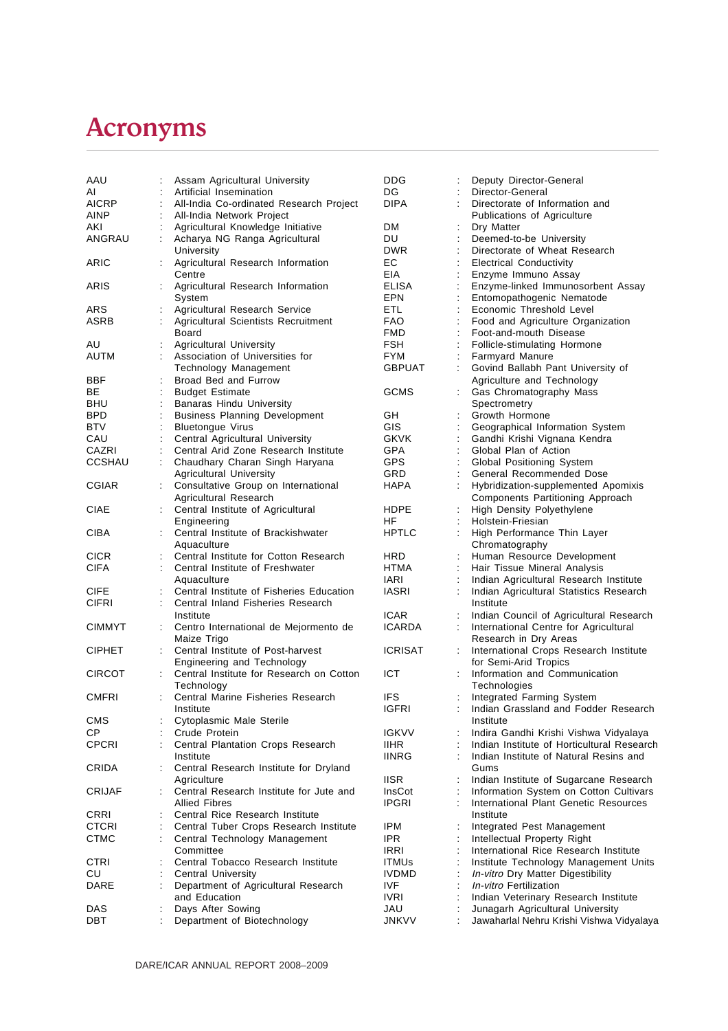## Acronyms

| AAU           |                      | Assam Agricultural University            | <b>DDG</b>     |                | Deputy Director-General                    |
|---------------|----------------------|------------------------------------------|----------------|----------------|--------------------------------------------|
| AI            |                      | Artificial Insemination                  | DG.            |                | Director-General                           |
| <b>AICRP</b>  |                      | All-India Co-ordinated Research Project  | <b>DIPA</b>    |                | Directorate of Information and             |
| AINP          |                      | All-India Network Project                |                |                | Publications of Agriculture                |
| AKI           |                      | Agricultural Knowledge Initiative        | <b>DM</b>      |                | Dry Matter                                 |
| ANGRAU        |                      | Acharya NG Ranga Agricultural            | DU             | ċ              | Deemed-to-be University                    |
|               |                      | University                               | <b>DWR</b>     |                | Directorate of Wheat Research              |
| ARIC          |                      | Agricultural Research Information        | EС             | ÷              | <b>Electrical Conductivity</b>             |
|               |                      | Centre                                   | EIA            |                | Enzyme Immuno Assay                        |
| ARIS          |                      | Agricultural Research Information        | ELISA          |                | Enzyme-linked Immunosorbent Assay          |
|               |                      | System                                   | <b>EPN</b>     |                | Entomopathogenic Nematode                  |
| ARS           |                      | Agricultural Research Service            | ETL            | $\ddot{\cdot}$ | Economic Threshold Level                   |
| ASRB          |                      | Agricultural Scientists Recruitment      | FAO.           |                | Food and Agriculture Organization          |
|               |                      | <b>Board</b>                             | FMD            |                | Foot-and-mouth Disease                     |
| AU            |                      | <b>Agricultural University</b>           | <b>FSH</b>     |                | Follicle-stimulating Hormone               |
| AUTM          |                      | Association of Universities for          | <b>FYM</b>     |                | <b>Farmyard Manure</b>                     |
|               |                      | Technology Management                    | <b>GBPUAT</b>  |                | Govind Ballabh Pant University of          |
| BBF           |                      | Broad Bed and Furrow                     |                |                | Agriculture and Technology                 |
| BE            |                      | <b>Budget Estimate</b>                   | <b>GCMS</b>    |                | Gas Chromatography Mass                    |
| BHU           |                      | Banaras Hindu University                 |                |                | Spectrometry                               |
| <b>BPD</b>    |                      | <b>Business Planning Development</b>     | GH             |                | Growth Hormone                             |
| <b>BTV</b>    |                      | <b>Bluetongue Virus</b>                  | GIS            |                | Geographical Information System            |
| CAU           |                      | Central Agricultural University          | <b>GKVK</b>    |                | Gandhi Krishi Vignana Kendra               |
| CAZRI         |                      | Central Arid Zone Research Institute     | GPA            |                | Global Plan of Action                      |
| CCSHAU        |                      | Chaudhary Charan Singh Haryana           | <b>GPS</b>     |                | Global Positioning System                  |
|               |                      | <b>Agricultural University</b>           | GRD            |                | General Recommended Dose                   |
| <b>CGIAR</b>  |                      | Consultative Group on International      | <b>HAPA</b>    |                | Hybridization-supplemented Apomixis        |
|               |                      | Agricultural Research                    |                |                | Components Partitioning Approach           |
| CIAE          | t.                   | Central Institute of Agricultural        | HDPE           |                | High Density Polyethylene                  |
|               |                      | Engineering                              | HF             |                | Holstein-Friesian                          |
| <b>CIBA</b>   |                      | Central Institute of Brackishwater       | <b>HPTLC</b>   |                | High Performance Thin Layer                |
|               |                      | Aquaculture                              |                |                | Chromatography                             |
| <b>CICR</b>   |                      | Central Institute for Cotton Research    | HRD            |                | Human Resource Development                 |
| <b>CIFA</b>   |                      | Central Institute of Freshwater          | <b>HTMA</b>    |                | Hair Tissue Mineral Analysis               |
|               |                      | Aquaculture                              | <b>IARI</b>    |                | Indian Agricultural Research Institute     |
| <b>CIFE</b>   |                      | Central Institute of Fisheries Education | <b>IASRI</b>   |                | Indian Agricultural Statistics Research    |
| CIFRI         |                      | Central Inland Fisheries Research        |                |                | Institute                                  |
|               |                      | Institute                                | <b>ICAR</b>    |                | Indian Council of Agricultural Research    |
| <b>CIMMYT</b> | ÷.                   | Centro International de Mejormento de    | <b>ICARDA</b>  |                | International Centre for Agricultural      |
|               |                      | Maize Trigo                              |                |                | Research in Dry Areas                      |
| <b>CIPHET</b> | $\ddot{\phantom{a}}$ | Central Institute of Post-harvest        | <b>ICRISAT</b> |                | International Crops Research Institute     |
|               |                      | Engineering and Technology               |                |                | for Semi-Arid Tropics                      |
| <b>CIRCOT</b> |                      | Central Institute for Research on Cotton | ICT            |                | Information and Communication              |
|               |                      | Technology                               |                |                | Technologies                               |
| <b>CMFRI</b>  |                      | Central Marine Fisheries Research        | <b>IFS</b>     |                | Integrated Farming System                  |
|               |                      | Institute                                | <b>IGFRI</b>   | ÷              | Indian Grassland and Fodder Research       |
| CMS           |                      | Cytoplasmic Male Sterile                 |                |                | Institute                                  |
| СP            |                      | Crude Protein                            | <b>IGKVV</b>   |                | Indira Gandhi Krishi Vishwa Vidyalaya      |
| <b>CPCRI</b>  |                      | Central Plantation Crops Research        | <b>IIHR</b>    |                | Indian Institute of Horticultural Research |
|               |                      | Institute                                | <b>IINRG</b>   |                | Indian Institute of Natural Resins and     |
| CRIDA         |                      | Central Research Institute for Dryland   |                |                | Gums                                       |
|               |                      | Agriculture                              | <b>IISR</b>    |                | Indian Institute of Sugarcane Research     |
| CRIJAF        |                      | Central Research Institute for Jute and  | InsCot         |                | Information System on Cotton Cultivars     |
|               |                      | <b>Allied Fibres</b>                     | <b>IPGRI</b>   |                | International Plant Genetic Resources      |
| CRRI          |                      | Central Rice Research Institute          |                |                | Institute                                  |
| CTCRI         |                      | Central Tuber Crops Research Institute   | IPM            |                | Integrated Pest Management                 |
| <b>CTMC</b>   |                      | Central Technology Management            | IPR.           |                | Intellectual Property Right                |
|               |                      | Committee                                | <b>IRRI</b>    |                | International Rice Research Institute      |
| CTRI          |                      | Central Tobacco Research Institute       | <b>ITMUs</b>   |                | Institute Technology Management Units      |
| CU            |                      | <b>Central University</b>                | <b>IVDMD</b>   |                | In-vitro Dry Matter Digestibility          |
| DARE          |                      | Department of Agricultural Research      | IVF            |                | In-vitro Fertilization                     |
|               |                      | and Education                            | <b>IVRI</b>    |                | Indian Veterinary Research Institute       |
| DAS           |                      | Days After Sowing                        | JAU            |                | Junagarh Agricultural University           |
| DBT           |                      | Department of Biotechnology              | <b>JNKVV</b>   |                | Jawaharlal Nehru Krishi Vishwa Vidyalaya   |
|               |                      |                                          |                |                |                                            |